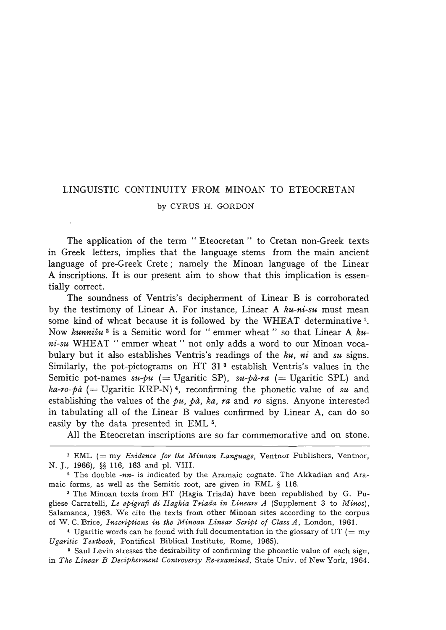## LINGUISTIC CONTINUITY FROM MINOAN TO ETEOCRETAN by CYRUS H. GORDON

The application of the term "Eteocretan" to Cretan non-Greek texts in Greek letters, implies that the language stems from the main ancient language of pre-Greek Crete; namely the Minoan language of the Linear A inscriptions. It is our present aim to show that this implication is essentially correct.

The soundness of Ventris's decipherment of Linear B is corroborated by the testimony of Linear A. For instance, Linear A *ku-ni-su* must mean some kind of wheat because it is followed by the WHEAT determinative <sup>1</sup>. Now *kunnisu* 2 is a Semitic word for" emmer wheat" so that Linear A *kuni-su* WHEAT " emmer wheat" not only adds a word to our Minoan vocabulary but it also establishes Ventris's readings of the *ku, ni* and *su* signs. Similarly, the pot-pictograms on HT 31<sup>3</sup> establish Ventris's values in the Semitic pot-names  $su$ -pu (= Ugaritic SP),  $su$ -pà-ra (= Ugaritic SPL) and  $ka$ -ro- $b\dot{a}$  (= Ugaritic KRP-N)<sup>4</sup>, reconfirming the phonetic value of *su* and establishing the values of the  $pu$ ,  $p\dot{a}$ ,  $ka$ ,  $ra$  and  $ro$  signs. Anyone interested in tabulating all of the Linear B values confirmed by Linear A, can do so easily by the data presented in EML 5.

All the Eteocretan inscriptions are so far commemorative and on stone.

1 EML (= my *Evidence for the Minoan Language,* Ventnor Publishers, Ventnor, N. J., 1966), §§ 116, 163 and pI. VIII.

• The double *-nn-* is indicated by the Aramaic cognate. The Akkadian and Aramaic forms, as well as the Semitic root, are given in EML § 116.

3 The Minoan texts from HT (Hagia Triada) have been republished by G. Pugliese Carratelli, *Le epigraft di Haghia Triada in Lineare A* (Supplement 3 to *Minos)* , Salamanca, 1963. We cite the texts from other Minoan sites according to the corpus of W. C. Brice, *Inscriptions in the Minoan Linear Script of Class A,* London, 1961.

 $\triangleleft$  Ugaritic words can be found with full documentation in the glossary of UT (= my *Ugaritic Textbook,* Pontifical Biblical Institute, Rome, 1965).

<sup>5</sup> Saul Levin stresses the desirability of confirming the phonetic value of each sign, in The Linear B Decipherment Controversy Re-examined, State Univ. of New York, 1964.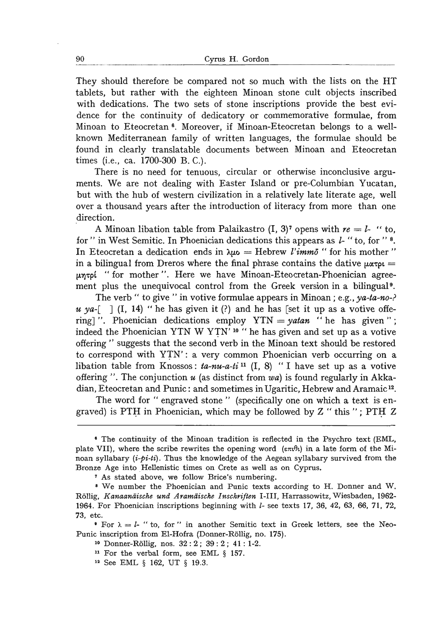They should therefore be compared not so much with the lists on the HT tablets, but rather with the eighteen Minoan stone cult objects inscribed with dedications. The two sets of stone inscriptions provide the best evidence for the continuity of dedicatory or commemorative formulae, from Minoan to Eteocretan 6. Moreover, if Minoan-Eteocretan belongs to a wellknown Mediterranean family of written languages, the formulae should be found in clearly translatable documents between Minoan and Eteocretan times (i.e., ca. 1700-300 B. C.).

There is no need for tenuous, circular or otherwise inconclusive arguments. We are not dealing with Easter Island or pre-Columbian Yucatan, but with the hub of western civilization in a relatively late literate age, well over a thousand years after the introduction of literacy from more than one direction.

A Minoan libation table from Palaikastro  $(I, 3)^7$  opens with  $re = l$ - "to, for" in West Semitic. In Phoenician dedications this appears as  $l$ -"to, for"<sup>8</sup>. In Eteocretan a dedication ends in  $\lambda \mu$ o = Hebrew *l'imm*<sub>0</sub> " for his mother " in a bilingual from Dreros where the final phrase contains the dative  $\mu\alpha\tau\beta\mu =$  $\mu$ ntol "for mother". Here we have Minoan-Eteocretan-Phoenician agreement plus the unequivocal control from the Greek version in a bilingual<sup>9</sup>.

The verb " to give " in votive formulae appears in Minoan; e.g., ya-ta-no-?  $u$  ya-[ ] (I, 14) " he has given it (?) and he has [set it up as a votive offering] ". Phoenician dedications employ YTN = *yatan* "he has given"; indeed the Phoenician YTN W YTN' <sup>10</sup> " he has given and set up as a votive offering" suggests that the second verb in the Minoan text should be restored to correspond with YTN': a very common Phoenician verb occurring on a libation table from Knossos: *ta-nu-a-ti* 11 (I, 8) "I have set up as a votive offering". The conjunction *u* (as distinct from *wa)* is found regularly in Akkadian, Eteocretan and Punic: and sometimes in Ugaritic, Hebrew and Aramaic 12.

The word for "engraved stone" (specifically one on which a text is engraved) is PTH in Phoenician, which may be followed by  $Z$  "this"; PTH  $Z$ 

e The continuity of the Minoan tradition is reflected in the Psychro text (EML, plate VII), where the scribe rewrites the opening word ( $\epsilon \pi t \theta t$ ) in a late form of the Minoan syllabary *(i-pi-ti).* Thus the knowledge of the Aegean syllabary survived from the Bronze Age into Hellenistic times on Crete as well as on Cyprus.

<sup>7</sup> As stated above, we follow Brice's numbering.

<sup>8</sup> We number the Phoenician and Punic texts according to H. Donner and W. R611ig, *Kanaanaische und Aramiiische Inschriften* I-Ill, Harrassowitz, Wiesbaden, 1962- 1964. For Phoenician inscriptions beginning with 1- see texts 17, 36, 42, 63, 66, 71, 72, 73, etc.

<sup>•</sup> For  $\lambda = l$ - "to, for " in another Semitic text in Greek letters, see the Neo-Punic inscription from El-Hofra (Donner-R611ig, no. 175).

<sup>10</sup> Donner-R611ig, nos. 32: 2; 39: 2; 41: 1-2.

<sup>&</sup>lt;sup>11</sup> For the verbal form, see EML § 157.

<sup>&</sup>lt;sup>12</sup> See EML § 162, UT § 19.3.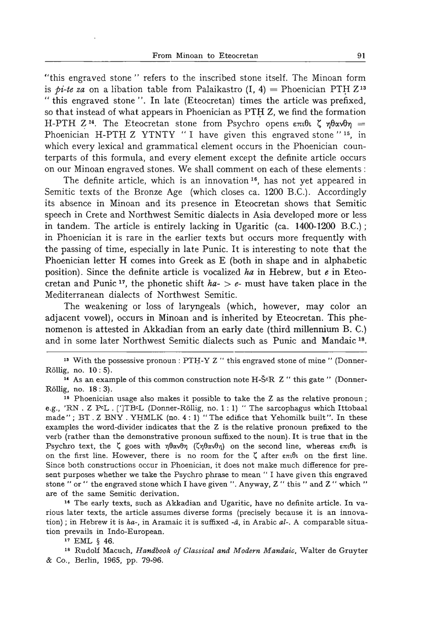"this engraved stone" refers to the inscribed stone itself. The Minoan form is *pi-te za* on a libation table from Palaikastro  $(I, 4) =$  Phoenician PTH Z<sup>13</sup> "this engraved stone". In late (Eteocretan) times the article was prefixed, so that instead of what appears in Phoenician as  $\text{PTH} Z$ , we find the formation H-PTH  $Z^{14}$ . The Eteocretan stone from Psychro opens  $\epsilon \pi i \theta i$ ,  $\zeta$   $\eta \theta \alpha \nu \theta \eta$  = Phoenician H-PTH Z YTNTY "I have given this engraved stone " $15$ , in which every lexical and grammatical element occurs in the Phoenician counterparts of this formula, and every element except the definite article occurs on our Minoan engraved stones. We shall comment on each of these elements:

The definite article, which is an innovation 16, has not yet appeared in Semitic texts of the Bronze Age (which closes ca. 1200 B.C.). Accordingly its absence in Minoan and its presence in Eteocretan shows that Semitic speech in Crete and Northwest Semitic dialects in Asia developed more or less in tandem. The article is entirely lacking in Ugaritic (ca. 1400-1200 RC.); in Phoenician it is rare in the earlier texts but occurs more frequently with the passing of time, especially in late Punic. It is interesting to note that the Phoenician letter H comes into Greek as E (both in shape and in alphabetic position). Since the definite article is vocalized *ha* in Hebrew, but *e* in Eteocretan and Punic <sup>17</sup>, the phonetic shift  $ha - > e$ - must have taken place in the Mediterranean dialects of Northwest Semitic.

The weakening or loss of laryngeals (which, however, may color an adjacent vowel), occurs in Minoan and is inherited by Eteocretan. This phenomenon is attested in Akkadian from an early date (third millennium B. C.) and in some later Northwest Semitic dialects such as Punic and Mandaic 18.

<sup>13</sup> With the possessive pronoun: PTH-Y Z " this engraved stone of mine " (Donner-Rollig, no. 10: 5) .

<sup>14</sup> As an example of this common construction note H- $\check{S}$ <sup>c</sup>R Z " this gate " (Donner-Rollig, no. 18: 3).

15 Phoenician usage also makes it possible to take the Z as the relative pronoun; e.g., 'RN . Z pcL. [']TBcL (Donner-Rollig, no. 1: 1) " The sarcophagus which Ittobaal made";  $BT. Z BNY. YHMLK (no. 4: 1)$  "The edifice that Yehomilk built". In these examples the word-divider indicates that the Z is the relative pronoun prefixed to the verb (rather than the demonstrative pronoun suffixed to the noun). It is true that in the Psychro text, the  $\zeta$  goes with  $\eta\theta\alpha\nu\theta\eta$  ( $\zeta\eta\theta\alpha\nu\theta\eta$ ) on the second line, whereas  $\epsilon\pi\iota\theta\iota$  is on the first line. However, there is no room for the  $\zeta$  after  $\epsilon \pi \iota \theta \iota$  on the first line. Since both constructions occur in Phoenician, it does not make much difference for present purposes whether we take the Psychro phrase to mean" I have given this engraved stone" or " the engraved stone which I have given". Anyway,  $Z$  " this" and  $Z$  " which" are of the same Semitic derivation.

18 The early texts, such as Akkadian and Ugaritic, have no definite article. In various later texts, the article assumes diverse forms (precisely because it is an innovation) ; in Hebrew it is *ha-,* in Aramaic it is suffixed -a, in Arabic *al-.* A comparable situation prevails in Indo-European.

17 EML § 46.

18 Rudolf Macuch, *Handbook of Classical and Modern Mandaic,* WaIter de Gruyter & Co., Berlin, 1965, pp. 79-96.